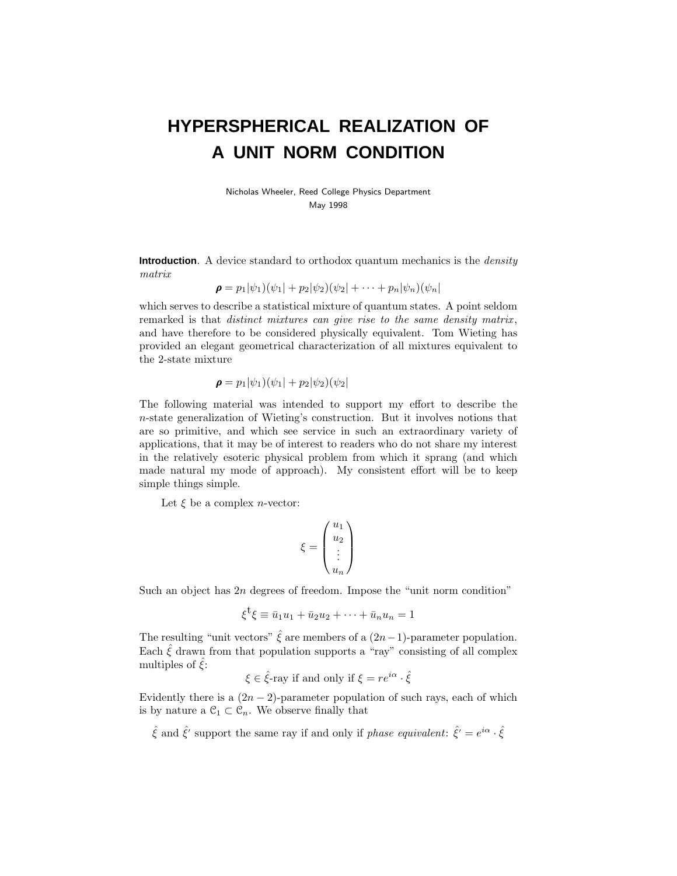# **HYPERSPHERICAL REALIZATION OF A UNIT NORM CONDITION**

Nicholas Wheeler, Reed College Physics Department May 1998

**Introduction**. A device standard to orthodox quantum mechanics is the *density* matrix

$$
\boldsymbol{\rho} = p_1|\psi_1)(\psi_1| + p_2|\psi_2)(\psi_2| + \cdots + p_n|\psi_n)(\psi_n|)
$$

which serves to describe a statistical mixture of quantum states. A point seldom remarked is that *distinct mixtures can give rise to the same density matrix*, and have therefore to be considered physically equivalent. Tom Wieting has provided an elegant geometrical characterization of all mixtures equivalent to the 2-state mixture

$$
\rho = p_1|\psi_1)(\psi_1| + p_2|\psi_2)(\psi_2|
$$

The following material was intended to support my effort to describe the *n*-state generalization of Wieting's construction. But it involves notions that are so primitive, and which see service in such an extraordinary variety of applications, that it may be of interest to readers who do not share my interest in the relatively esoteric physical problem from which it sprang (and which made natural my mode of approach). My consistent effort will be to keep simple things simple.

Let  $\xi$  be a complex *n*-vector:

$$
\xi = \begin{pmatrix} u_1 \\ u_2 \\ \vdots \\ u_n \end{pmatrix}
$$

Such an object has 2*n* degrees of freedom. Impose the "unit norm condition"

$$
\xi^{\dagger}\xi \equiv \bar{u}_1u_1 + \bar{u}_2u_2 + \cdots + \bar{u}_nu_n = 1
$$

The resulting "unit vectors"  $\hat{\xi}$  are members of a  $(2n-1)$ -parameter population. Each  $\hat{\xi}$  drawn from that population supports a "ray" consisting of all complex multiples of  $\zeta$ :

$$
\xi \in \hat{\xi}
$$
-ray if and only if  $\xi = re^{i\alpha} \cdot \hat{\xi}$ 

Evidently there is a  $(2n - 2)$ -parameter population of such rays, each of which is by nature a  $\mathcal{C}_1 \subset \mathcal{C}_n$ . We observe finally that

 $\hat{\xi}$  and  $\hat{\xi}'$  support the same ray if and only if *phase equivalent:*  $\hat{\xi}' = e^{i\alpha} \cdot \hat{\xi}$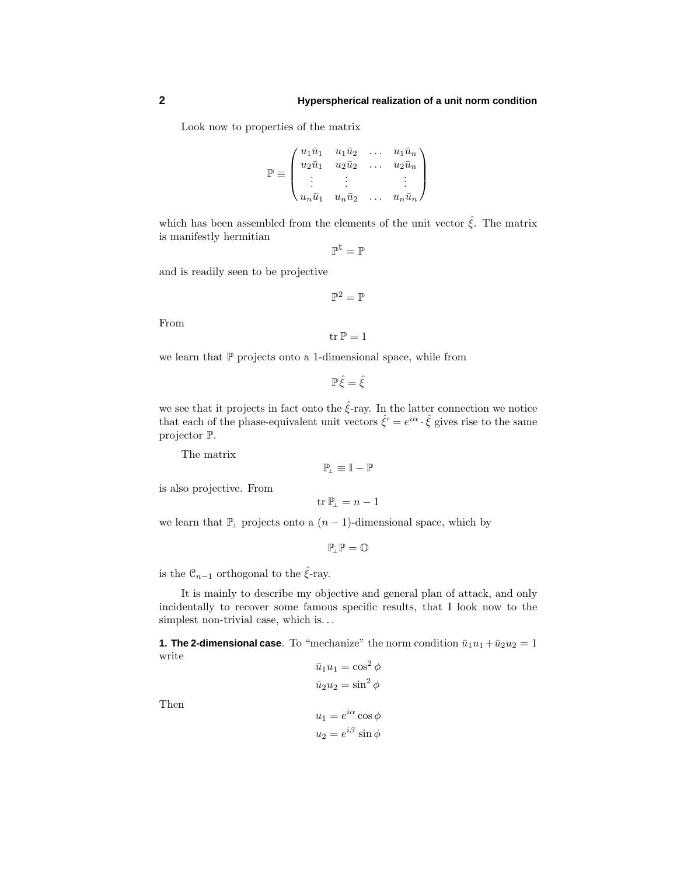Look now to properties of the matrix

$$
\mathbb{P} \equiv \begin{pmatrix} u_1 \bar{u}_1 & u_1 \bar{u}_2 & \dots & u_1 \bar{u}_n \\ u_2 \bar{u}_1 & u_2 \bar{u}_2 & \dots & u_2 \bar{u}_n \\ \vdots & \vdots & & \vdots \\ u_n \bar{u}_1 & u_n \bar{u}_2 & \dots & u_n \bar{u}_n \end{pmatrix}
$$

which has been assembled from the elements of the unit vector  $\hat{\xi}$ . The matrix is manifestly hermitian

$$
\mathbb{P}^t=\mathbb{P}
$$

and is readily seen to be projective

$$
\mathbb{P}^2=\mathbb{P}
$$

 $tr \mathbb{P} = 1$ 

From

we learn that  $P$  projects onto a 1-dimensional space, while from

 $\mathbb{P}\hat{\xi} = \hat{\xi}$ 

we see that it projects in fact onto the  $\hat{\xi}$ -ray. In the latter connection we notice that each of the phase-equivalent unit vectors  $\hat{\xi}' = e^{i\alpha} \cdot \hat{\xi}$  gives rise to the same projector P.

The matrix

$$
\mathbb{P}_{\!\scriptscriptstyle\perp} \equiv \mathbb{I} - \mathbb{P}
$$

is also projective. From

tr  $\mathbb{P}_{\perp} = n - 1$ 

we learn that  $\mathbb{P}_{\perp}$  projects onto a  $(n-1)$ -dimensional space, which by

 $\mathbb{P}_\perp \mathbb{P} = \mathbb{O}$ 

is the  $\mathcal{C}_{n-1}$  orthogonal to the  $\hat{\xi}$ -ray.

It is mainly to describe my objective and general plan of attack, and only incidentally to recover some famous specific results, that I look now to the simplest non-trivial case, which is*...*

**1. The 2-dimensional case**. To "mechanize" the norm condition  $\bar{u}_1u_1+\bar{u}_2u_2=1$ write  $\bar{u}_1 u_1 = \cos^2 \phi$ 

$$
u_1u_1 = \cos \varphi
$$
  

$$
\bar{u}_2u_2 = \sin^2 \phi
$$
  

$$
u_1 = e^{i\alpha} \cos \phi
$$
  

$$
u_2 = e^{i\beta} \sin \phi
$$

Then

$$
f_{\rm{max}}
$$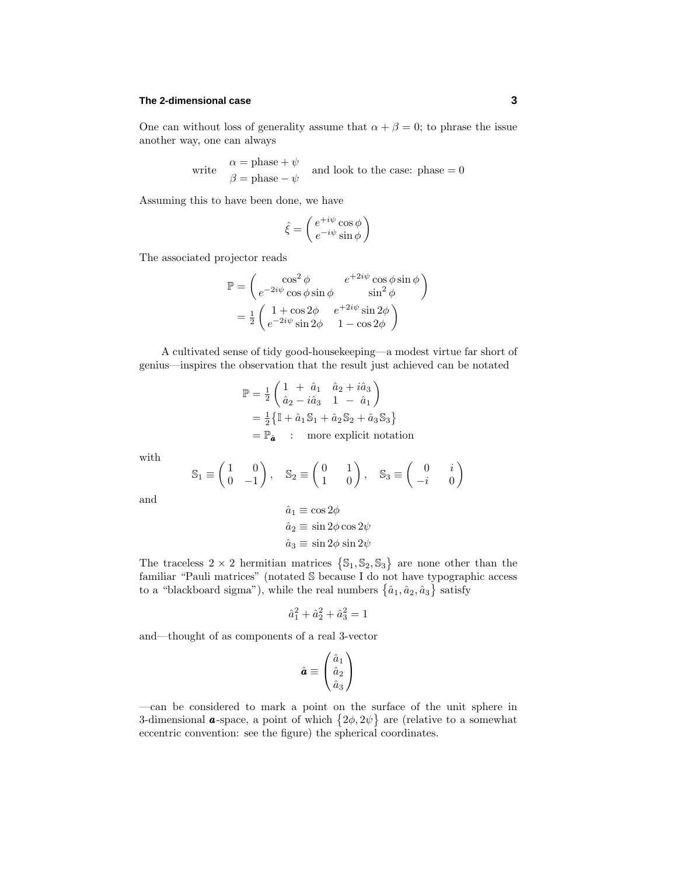## **The 2-dimensional case 3**

One can without loss of generality assume that  $\alpha + \beta = 0$ ; to phrase the issue another way, one can always

write  $\alpha = \text{phase} + \psi$  and look to the case: phase = 0<br>  $\beta = \text{phase} - \psi$ 

Assuming this to have been done, we have

$$
\hat{\xi} = \begin{pmatrix} e^{+i\psi}\cos\phi \\ e^{-i\psi}\sin\phi \end{pmatrix}
$$

The associated projector reads

$$
\mathbb{P} = \begin{pmatrix} \cos^2 \phi & e^{+2i\psi} \cos \phi \sin \phi \\ e^{-2i\psi} \cos \phi \sin \phi & \sin^2 \phi \end{pmatrix}
$$

$$
= \frac{1}{2} \begin{pmatrix} 1 + \cos 2\phi & e^{+2i\psi} \sin 2\phi \\ e^{-2i\psi} \sin 2\phi & 1 - \cos 2\phi \end{pmatrix}
$$

A cultivated sense of tidy good-housekeeping—a modest virtue far short of genius—inspires the observation that the result just achieved can be notated

$$
\mathbb{P} = \frac{1}{2} \begin{pmatrix} 1 + \hat{a}_1 & \hat{a}_2 + i\hat{a}_3 \\ \hat{a}_2 - i\hat{a}_3 & 1 - \hat{a}_1 \end{pmatrix}
$$
  
=  $\frac{1}{2} \{ \mathbb{I} + \hat{a}_1 \mathbb{S}_1 + \hat{a}_2 \mathbb{S}_2 + \hat{a}_3 \mathbb{S}_3 \}$   
=  $\mathbb{P}_{\hat{a}}$  : more explicit notation

with

$$
\mathbb{S}_1 \equiv \begin{pmatrix} 1 & 0 \\ 0 & -1 \end{pmatrix}, \quad \mathbb{S}_2 \equiv \begin{pmatrix} 0 & 1 \\ 1 & 0 \end{pmatrix}, \quad \mathbb{S}_3 \equiv \begin{pmatrix} 0 & i \\ -i & 0 \end{pmatrix}
$$

and

$$
\hat{a}_1 \equiv \cos 2\phi
$$
  
\n
$$
\hat{a}_2 \equiv \sin 2\phi \cos 2\psi
$$
  
\n
$$
\hat{a}_3 \equiv \sin 2\phi \sin 2\psi
$$

The traceless  $2 \times 2$  hermitian matrices  $\{S_1, S_2, S_3\}$  are none other than the familiar "Pauli matrices" (notated S because I do not have typographic access to a "blackboard sigma"), while the real numbers  $\{\hat{a}_1, \hat{a}_2, \hat{a}_3\}$  satisfy

$$
\hat{a}_1^2 + \hat{a}_2^2 + \hat{a}_3^2 = 1
$$

and—thought of as components of a real 3-vector

$$
\hat{\boldsymbol{a}} \equiv \begin{pmatrix} \hat{a}_1 \\ \hat{a}_2 \\ \hat{a}_3 \end{pmatrix}
$$

—can be considered to mark a point on the surface of the unit sphere in 3-dimensional **a**-space, a point of which  $\{2\phi, 2\psi\}$  are (relative to a somewhat eccentric convention: see the figure) the spherical coordinates.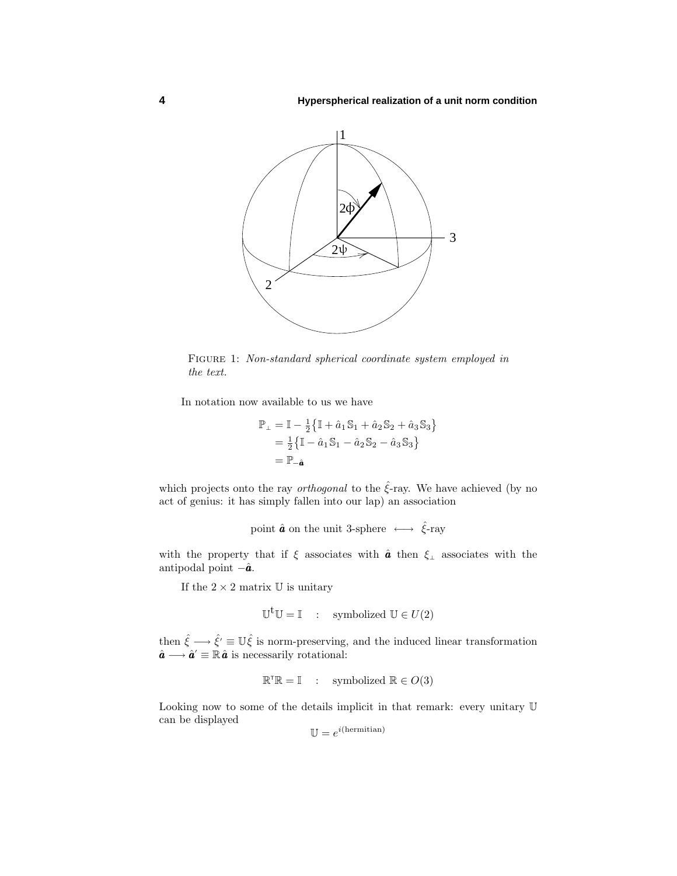

FIGURE 1: Non-standard spherical coordinate system employed in the text.

In notation now available to us we have

$$
\mathbb{P}_{\perp} = \mathbb{I} - \frac{1}{2} \{ \mathbb{I} + \hat{a}_1 \mathbb{S}_1 + \hat{a}_2 \mathbb{S}_2 + \hat{a}_3 \mathbb{S}_3 \}
$$
  
=  $\frac{1}{2} \{ \mathbb{I} - \hat{a}_1 \mathbb{S}_1 - \hat{a}_2 \mathbb{S}_2 - \hat{a}_3 \mathbb{S}_3 \}$   
=  $\mathbb{P}_{-\hat{a}}$ 

which projects onto the ray *orthogonal* to the  $\hat{\xi}$ -ray. We have achieved (by no act of genius: it has simply fallen into our lap) an association

point  $\hat{a}$  on the unit 3-sphere  $\longleftrightarrow \hat{\xi}$ -ray

with the property that if *ξ* associates with **â** then *ξ*<sub>⊥</sub> associates with the antipodal point −*a*ˆ *a*.

If the  $2 \times 2$  matrix U is unitary

$$
\mathbb{U}^{\mathbf{t}}\mathbb{U}=\mathbb{I} \quad : \quad \text{symbolized } \mathbb{U} \in U(2)
$$

then  $\hat{\xi} \longrightarrow \hat{\xi}' \equiv \mathbb{U}\hat{\xi}$  is norm-preserving, and the induced linear transformation  $\hat{\boldsymbol{a}} \longrightarrow \hat{\boldsymbol{a}}' \equiv \mathbb{R} \hat{\boldsymbol{a}}$  is necessarily rotational:

$$
\mathbb{R}^{\mathsf{T}}\mathbb{R} = \mathbb{I} \quad : \quad \text{symbolized } \mathbb{R} \in O(3)
$$

Looking now to some of the details implicit in that remark: every unitary U can be displayed

$$
\mathbb{U} = e^{i(\text{hermitian})}
$$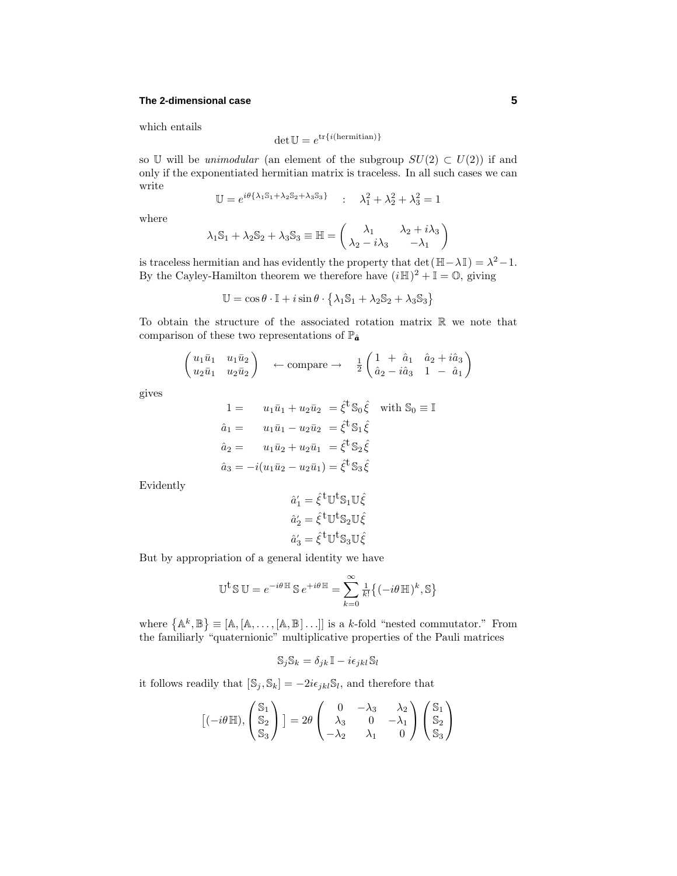### **The 2-dimensional case 5**

which entails

$$
\det \mathbb{U} = e^{\text{tr}\{i(\text{hermitian})\}}
$$

so U will be *unimodular* (an element of the subgroup  $SU(2) \subset U(2)$ ) if and only if the exponentiated hermitian matrix is traceless. In all such cases we can write

$$
\mathbb{U}=e^{i\theta\{\lambda_1\mathbb{S}_1+\lambda_2\mathbb{S}_2+\lambda_3\mathbb{S}_3\}}\qquad;\quad \lambda_1^2+\lambda_2^2+\lambda_3^2=1
$$

where

$$
\lambda_1 \mathbb{S}_1 + \lambda_2 \mathbb{S}_2 + \lambda_3 \mathbb{S}_3 \equiv \mathbb{H} = \begin{pmatrix} \lambda_1 & \lambda_2 + i\lambda_3 \\ \lambda_2 - i\lambda_3 & -\lambda_1 \end{pmatrix}
$$

is traceless hermitian and has evidently the property that det( $\mathbb{H} - \lambda \mathbb{I}$ ) =  $\lambda^2 - 1$ . By the Cayley-Hamilton theorem we therefore have  $(i\mathbb{H})^2 + \mathbb{I} = \mathbb{O}$ , giving

$$
\mathbb{U} = \cos \theta \cdot \mathbb{I} + i \sin \theta \cdot \left\{ \lambda_1 \mathbb{S}_1 + \lambda_2 \mathbb{S}_2 + \lambda_3 \mathbb{S}_3 \right\}
$$

To obtain the structure of the associated rotation matrix  $\mathbb R$  we note that comparison of these two representations of  $\mathbb{P}_{\hat{a}}$ 

$$
\begin{pmatrix} u_1\bar{u}_1 & u_1\bar{u}_2\\ u_2\bar{u}_1 & u_2\bar{u}_2 \end{pmatrix} \leftarrow \text{compare} \rightarrow \frac{1}{2} \begin{pmatrix} 1 & \hat{a}_1 & \hat{a}_2 + i\hat{a}_3\\ \hat{a}_2 - i\hat{a}_3 & 1 & -\hat{a}_1 \end{pmatrix}
$$

gives

$$
1 = u_1\bar{u}_1 + u_2\bar{u}_2 = \hat{\xi}^{\dagger} S_0 \hat{\xi} \text{ with } S_0 \equiv \mathbb{I}
$$
  
\n
$$
\hat{a}_1 = u_1\bar{u}_1 - u_2\bar{u}_2 = \hat{\xi}^{\dagger} S_1 \hat{\xi}
$$
  
\n
$$
\hat{a}_2 = u_1\bar{u}_2 + u_2\bar{u}_1 = \hat{\xi}^{\dagger} S_2 \hat{\xi}
$$
  
\n
$$
\hat{a}_3 = -i(u_1\bar{u}_2 - u_2\bar{u}_1) = \hat{\xi}^{\dagger} S_3 \hat{\xi}
$$

Evidently

$$
\begin{aligned} \hat{a}_1' &= \hat{\xi}^{\text{t}} \mathbb{U}^{\text{t}} \mathbb{S}_1 \mathbb{U} \hat{\xi} \\ \hat{a}_2' &= \hat{\xi}^{\text{t}} \mathbb{U}^{\text{t}} \mathbb{S}_2 \mathbb{U} \hat{\xi} \\ \hat{a}_3' &= \hat{\xi}^{\text{t}} \mathbb{U}^{\text{t}} \mathbb{S}_3 \mathbb{U} \hat{\xi} \end{aligned}
$$

But by appropriation of a general identity we have

$$
\mathbb{U}^{\dagger} \mathbb{S} \mathbb{U} = e^{-i\theta \mathbb{H}} \mathbb{S} e^{+i\theta \mathbb{H}} = \sum_{k=0}^{\infty} \frac{1}{k!} \{ (-i\theta \mathbb{H})^k, \mathbb{S} \}
$$

where  $\{A^k, \mathbb{B}\} \equiv [A, [A, \dots, [A, \mathbb{B}] \dots]]$  is a *k*-fold "nested commutator." From the familiarly "quaternionic" multiplicative properties of the Pauli matrices

$$
\mathbb{S}_j \mathbb{S}_k = \delta_{jk}\mathbb{I} - i\epsilon_{jkl}\mathbb{S}_l
$$

it follows readily that  $[\mathbb{S}_j, \mathbb{S}_k] = -2i\epsilon_{jkl}\mathbb{S}_l$ , and therefore that

$$
[(-i\theta \mathbb{H}), \begin{pmatrix} \mathbb{S}_1 \\ \mathbb{S}_2 \\ \mathbb{S}_3 \end{pmatrix}] = 2\theta \begin{pmatrix} 0 & -\lambda_3 & \lambda_2 \\ \lambda_3 & 0 & -\lambda_1 \\ -\lambda_2 & \lambda_1 & 0 \end{pmatrix} \begin{pmatrix} \mathbb{S}_1 \\ \mathbb{S}_2 \\ \mathbb{S}_3 \end{pmatrix}
$$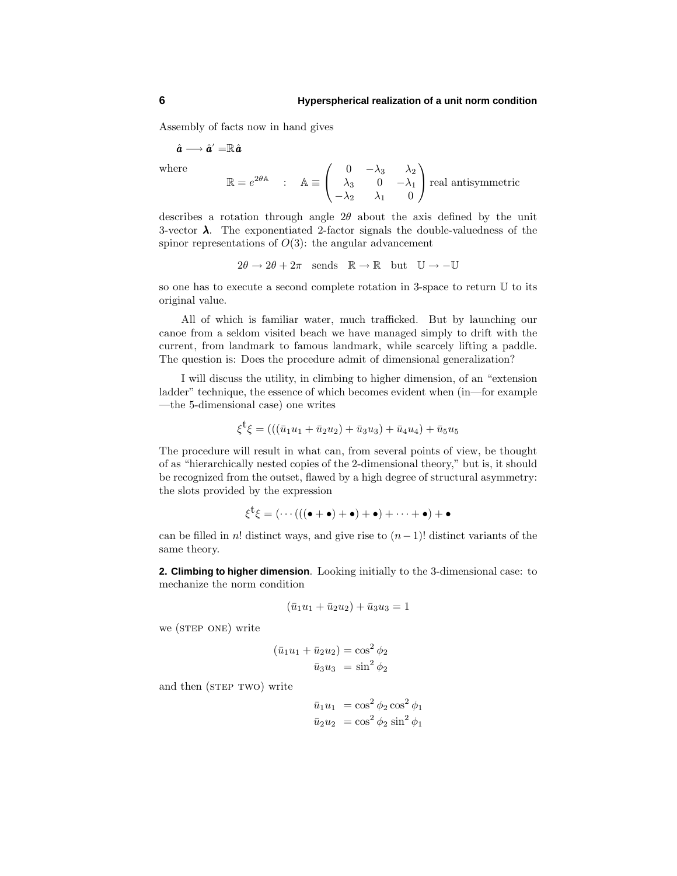Assembly of facts now in hand gives

$$
\hat{\bm{a}} \longrightarrow \hat{\bm{a}}' = \mathbb{R} \hat{\bm{a}}
$$

where

$$
\mathbb{R} = e^{2\theta \mathbb{A}} \quad : \quad \mathbb{A} \equiv \begin{pmatrix} 0 & -\lambda_3 & \lambda_2 \\ \lambda_3 & 0 & -\lambda_1 \\ -\lambda_2 & \lambda_1 & 0 \end{pmatrix} \text{real antisymmetric}
$$

describes a rotation through angle  $2\theta$  about the axis defined by the unit 3-vector *λ*. The exponentiated 2-factor signals the double-valuedness of the spinor representations of  $O(3)$ : the angular advancement

 $2\theta \to 2\theta + 2\pi$  sends  $\mathbb{R} \to \mathbb{R}$  but  $\mathbb{U} \to -\mathbb{U}$ 

so one has to execute a second complete rotation in 3-space to return U to its original value.

All of which is familiar water, much trafficked. But by launching our canoe from a seldom visited beach we have managed simply to drift with the current, from landmark to famous landmark, while scarcely lifting a paddle. The question is: Does the procedure admit of dimensional generalization?

I will discuss the utility, in climbing to higher dimension, of an "extension ladder" technique, the essence of which becomes evident when (in—for example —the 5-dimensional case) one writes

$$
\xi^{\dagger}\xi = (((\bar{u}_1u_1 + \bar{u}_2u_2) + \bar{u}_3u_3) + \bar{u}_4u_4) + \bar{u}_5u_5
$$

The procedure will result in what can, from several points of view, be thought of as "hierarchically nested copies of the 2-dimensional theory," but is, it should be recognized from the outset, flawed by a high degree of structural asymmetry: the slots provided by the expression

$$
\xi^{\mathsf{t}}\xi=(\cdots(((\bullet+\bullet)+\bullet)+\bullet)+\cdots+\bullet)+\bullet
$$

can be filled in *n*! distinct ways, and give rise to  $(n-1)!$  distinct variants of the same theory.

**2. Climbing to higher dimension**. Looking initially to the 3-dimensional case: to mechanize the norm condition

$$
(\bar{u}_1u_1 + \bar{u}_2u_2) + \bar{u}_3u_3 = 1
$$

we (STEP ONE) write

$$
(\bar{u}_1u_1 + \bar{u}_2u_2) = \cos^2 \phi_2
$$

$$
\bar{u}_3u_3 = \sin^2 \phi_2
$$

and then (STEP TWO) write

$$
\overline{u}_1 u_1 = \cos^2 \phi_2 \cos^2 \phi_1
$$
  

$$
\overline{u}_2 u_2 = \cos^2 \phi_2 \sin^2 \phi_1
$$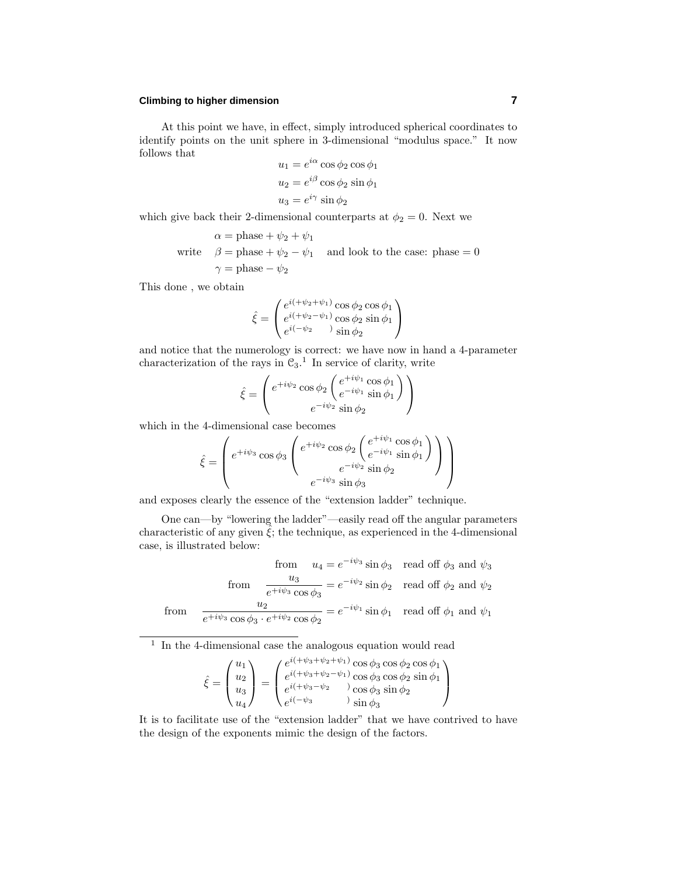## **Climbing to higher dimension 7**

At this point we have, in effect, simply introduced spherical coordinates to identify points on the unit sphere in 3-dimensional "modulus space." It now follows that

$$
u_1 = e^{i\alpha} \cos \phi_2 \cos \phi_1
$$
  

$$
u_2 = e^{i\beta} \cos \phi_2 \sin \phi_1
$$
  

$$
u_3 = e^{i\gamma} \sin \phi_2
$$

which give back their 2-dimensional counterparts at  $\phi_2 = 0$ . Next we

$$
\alpha = \text{phase} + \psi_2 + \psi_1
$$
  
write  $\beta = \text{phase} + \psi_2 - \psi_1$  and look to the case: phase = 0  
 $\gamma = \text{phase} - \psi_2$ 

This done , we obtain

$$
\hat{\xi} = \begin{pmatrix} e^{i(\psi_2 + \psi_1)} \cos \phi_2 \cos \phi_1 \\ e^{i(\psi_2 - \psi_1)} \cos \phi_2 \sin \phi_1 \\ e^{i(-\psi_2)} \sin \phi_2 \end{pmatrix}
$$

and notice that the numerology is correct: we have now in hand a 4-parameter characterization of the rays in  $\mathfrak{C}_3$ .<sup>1</sup> In service of clarity, write

$$
\hat{\xi} = \begin{pmatrix} e^{+i\psi_2} \cos \phi_2 \begin{pmatrix} e^{+i\psi_1} \cos \phi_1 \\ e^{-i\psi_1} \sin \phi_1 \end{pmatrix} \\ e^{-i\psi_2} \sin \phi_2 \end{pmatrix}
$$

which in the 4-dimensional case becomes

$$
\hat{\xi} = \begin{pmatrix} e^{+i\psi_3} \cos \phi_3 \begin{pmatrix} e^{+i\psi_2} \cos \phi_2 \begin{pmatrix} e^{+i\psi_1} \cos \phi_1 \\ e^{-i\psi_1} \sin \phi_1 \end{pmatrix} \\ e^{-i\psi_2} \sin \phi_2 \end{pmatrix} \end{pmatrix}
$$

and exposes clearly the essence of the "extension ladder" technique.

One can—by "lowering the ladder"—easily read off the angular parameters characteristic of any given  $\hat{\xi}$ ; the technique, as experienced in the 4-dimensional case, is illustrated below:

from 
$$
u_4 = e^{-i\psi_3} \sin \phi_3
$$
 read off  $\phi_3$  and  $\psi_3$   
from  $\frac{u_3}{e^{+i\psi_3} \cos \phi_3} = e^{-i\psi_2} \sin \phi_2$  read off  $\phi_2$  and  $\psi_2$   
from  $\frac{u_2}{e^{+i\psi_3} \cos \phi_3 \cdot e^{+i\psi_2} \cos \phi_2} = e^{-i\psi_1} \sin \phi_1$  read off  $\phi_1$  and  $\psi_1$ 

<sup>1</sup> In the 4-dimensional case the analogous equation would read

$$
\hat{\xi} = \begin{pmatrix} u_1 \\ u_2 \\ u_3 \\ u_4 \end{pmatrix} = \begin{pmatrix} e^{i(+\psi_3 + \psi_2 + \psi_1)} \cos \phi_3 \cos \phi_2 \cos \phi_1 \\ e^{i(+\psi_3 + \psi_2 - \psi_1)} \cos \phi_3 \cos \phi_2 \sin \phi_1 \\ e^{i(+\psi_3 - \psi_2)} \cos \phi_3 \sin \phi_2 \\ e^{i(-\psi_3)} \sin \phi_3 \end{pmatrix}
$$

It is to facilitate use of the "extension ladder" that we have contrived to have the design of the exponents mimic the design of the factors.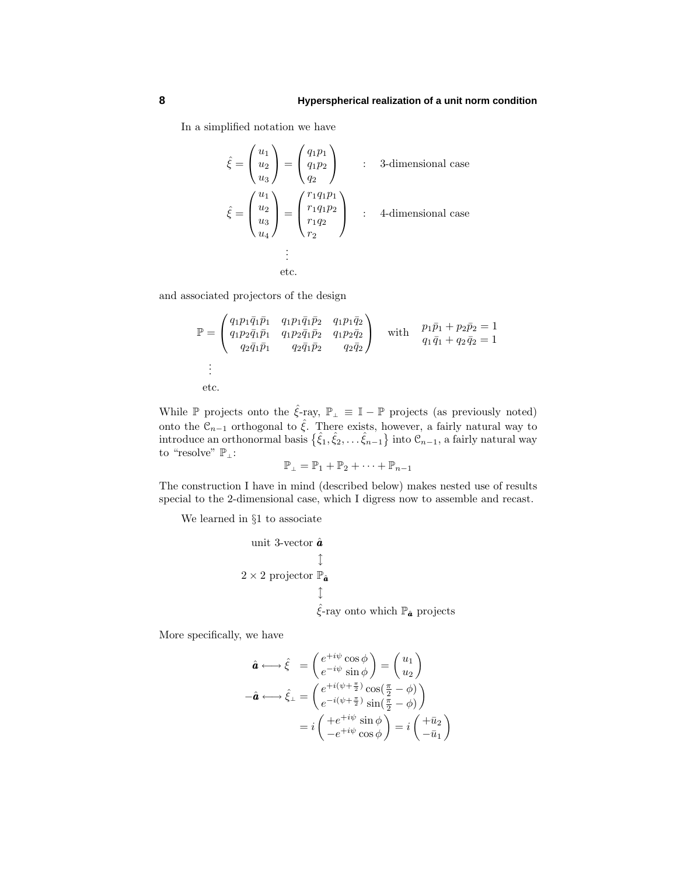In a simplified notation we have

$$
\hat{\xi} = \begin{pmatrix} u_1 \\ u_2 \\ u_3 \end{pmatrix} = \begin{pmatrix} q_1 p_1 \\ q_1 p_2 \\ q_2 \end{pmatrix} : 3\text{-dimensional case}
$$
  

$$
\hat{\xi} = \begin{pmatrix} u_1 \\ u_2 \\ u_3 \\ u_4 \end{pmatrix} = \begin{pmatrix} r_1 q_1 p_1 \\ r_1 q_1 p_2 \\ r_1 q_2 \\ r_2 \end{pmatrix} : 4\text{-dimensional case}
$$
  
...  
etc.

and associated projectors of the design

$$
\mathbb{P} = \begin{pmatrix} q_1 p_1 \bar{q}_1 \bar{p}_1 & q_1 p_1 \bar{q}_1 \bar{p}_2 & q_1 p_1 \bar{q}_2 \\ q_1 p_2 \bar{q}_1 \bar{p}_1 & q_1 p_2 \bar{q}_1 \bar{p}_2 & q_1 p_2 \bar{q}_2 \\ q_2 \bar{q}_1 \bar{p}_1 & q_2 \bar{q}_1 \bar{p}_2 & q_2 \bar{q}_2 \end{pmatrix} \text{ with } \begin{array}{c} p_1 \bar{p}_1 + p_2 \bar{p}_2 = 1 \\ q_1 \bar{q}_1 + q_2 \bar{q}_2 = 1 \\ q_1 \bar{q}_1 + q_2 \bar{q}_2 = 1 \end{array}
$$
  
\n
$$
\vdots
$$
  
\netc.

While P projects onto the  $\hat{\xi}$ -ray,  $\mathbb{P}_{\perp} \equiv \mathbb{I} - \mathbb{P}$  projects (as previously noted) onto the  $\mathcal{C}_{n-1}$  orthogonal to  $\hat{\xi}$ . There exists, however, a fairly natural way to introduce an orthonormal basis  $\{\hat{\xi}_1, \hat{\xi}_2, \ldots \hat{\xi}_{n-1}\}$  into  $\mathcal{C}_{n-1}$ , a fairly natural way to "resolve"  $\mathbb{P}_\perp\colon$ 

$$
\mathbb{P}_{\perp} = \mathbb{P}_1 + \mathbb{P}_2 + \cdots + \mathbb{P}_{n-1}
$$

The construction I have in mind (described below) makes nested use of results special to the 2-dimensional case, which I digress now to assemble and recast.

We learned in §1 to associate

unit 3-vector 
$$
\hat{a}
$$
  
\n $\updownarrow$   
\n2 × 2 projector  $\mathbb{P}_{\hat{a}}$   
\n $\downarrow$   
\n $\hat{\xi}$ -ray onto which  $\mathbb{P}_{\hat{a}}$  projects

More specifically, we have

$$
\hat{\mathbf{a}} \longleftrightarrow \hat{\xi} = \begin{pmatrix} e^{+i\psi}\cos\phi \\ e^{-i\psi}\sin\phi \end{pmatrix} = \begin{pmatrix} u_1 \\ u_2 \end{pmatrix}
$$

$$
-\hat{\mathbf{a}} \longleftrightarrow \hat{\xi}_{\perp} = \begin{pmatrix} e^{+i(\psi + \frac{\pi}{2})}\cos(\frac{\pi}{2} - \phi) \\ e^{-i(\psi + \frac{\pi}{2})}\sin(\frac{\pi}{2} - \phi) \end{pmatrix}
$$

$$
= i \begin{pmatrix} +e^{+i\psi}\sin\phi \\ -e^{+i\psi}\cos\phi \end{pmatrix} = i \begin{pmatrix} +\bar{u}_2 \\ -\bar{u}_1 \end{pmatrix}
$$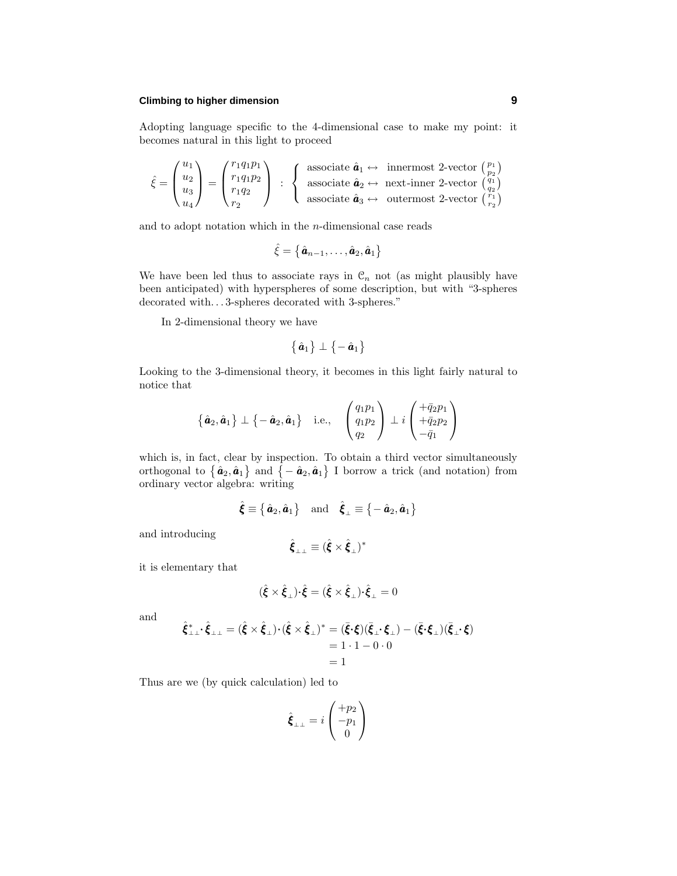## **Climbing to higher dimension 9**

Adopting language specific to the 4-dimensional case to make my point: it becomes natural in this light to proceed

$$
\hat{\xi} = \begin{pmatrix} u_1 \\ u_2 \\ u_3 \\ u_4 \end{pmatrix} = \begin{pmatrix} r_1q_1p_1 \\ r_1q_1p_2 \\ r_1q_2 \\ r_2 \end{pmatrix} \; : \; \; \left\{ \begin{array}{l} \text{associate } \hat{\pmb{a}}_1 \leftrightarrow \text{ innermost 2-vector } \left( \begin{smallmatrix} p_1 \\ p_2 \\ p_3 \\ \text{associate } \hat{\pmb{a}}_3 \leftrightarrow \text{ next-inner 2-vector } \left( \begin{smallmatrix} q_1 \\ q_2 \\ q_2 \\ \text{associate } \hat{\pmb{a}}_3 \leftrightarrow \text{ outermost 2-vector } \left( \begin{smallmatrix} q_1 \\ q_2 \\ r_1 \\ \text{reson} \end{smallmatrix} \right) \end{array} \right) \right.\\
$$

and to adopt notation which in the *n*-dimensional case reads

$$
\hat{\xi} = \left\{ \hat{\boldsymbol{a}}_{n-1}, \ldots, \hat{\boldsymbol{a}}_{2}, \hat{\boldsymbol{a}}_{1} \right\}
$$

We have been led thus to associate rays in  $\mathcal{C}_n$  not (as might plausibly have been anticipated) with hyperspheres of some description, but with "3-spheres decorated with*...* 3-spheres decorated with 3-spheres."

In 2-dimensional theory we have

$$
\{\hat{\bm{a}}_1\}\perp\{-\hat{\bm{a}}_1\}
$$

Looking to the 3-dimensional theory, it becomes in this light fairly natural to notice that

$$
\{\hat{\boldsymbol{a}}_2,\hat{\boldsymbol{a}}_1\} \perp \{-\hat{\boldsymbol{a}}_2,\hat{\boldsymbol{a}}_1\} \quad \text{i.e.,} \quad \begin{pmatrix} q_1p_1 \\ q_1p_2 \\ q_2 \end{pmatrix} \perp i \begin{pmatrix} +\bar{q}_2p_1 \\ +\bar{q}_2p_2 \\ -\bar{q}_1 \end{pmatrix}
$$

which is, in fact, clear by inspection. To obtain a third vector simultaneously orthogonal to  $\{\hat{\bm{a}}_2, \hat{\bm{a}}_1\}$  and  $\{-\hat{\bm{a}}_2, \hat{\bm{a}}_1\}$  I borrow a trick (and notation) from ordinary vector algebra: writing

$$
\hat{\boldsymbol{\xi}} \equiv \{\hat{\boldsymbol{a}}_2, \hat{\boldsymbol{a}}_1\} \text{ and } \hat{\boldsymbol{\xi}}_{\perp} \equiv \{-\hat{\boldsymbol{a}}_2, \hat{\boldsymbol{a}}_1\}
$$

 $rac{1}{\text{and} \text{introducing}}$ 

$$
\hat{\boldsymbol{\xi}}_{\perp\perp} \equiv (\hat{\boldsymbol{\xi}} \times \hat{\boldsymbol{\xi}}_{\perp})^*
$$

it is elementary that

$$
(\hat{\boldsymbol{\xi}} \times \hat{\boldsymbol{\xi}}_{\perp}) \cdot \hat{\boldsymbol{\xi}} = (\hat{\boldsymbol{\xi}} \times \hat{\boldsymbol{\xi}}_{\perp}) \cdot \hat{\boldsymbol{\xi}}_{\perp} = 0
$$

and

$$
\hat{\xi}_{\perp\perp}^* \cdot \hat{\xi}_{\perp\perp} = (\hat{\xi} \times \hat{\xi}_{\perp}) \cdot (\hat{\xi} \times \hat{\xi}_{\perp})^* = (\bar{\xi} \cdot \xi)(\bar{\xi}_{\perp} \cdot \xi_{\perp}) - (\bar{\xi} \cdot \xi_{\perp})(\bar{\xi}_{\perp} \cdot \xi) \n= 1 \cdot 1 - 0 \cdot 0 \n= 1
$$

Thus are we (by quick calculation) led to

$$
\hat{\boldsymbol{\xi}}_{\perp\perp} = i \begin{pmatrix} +p_2 \\ -p_1 \\ 0 \end{pmatrix}
$$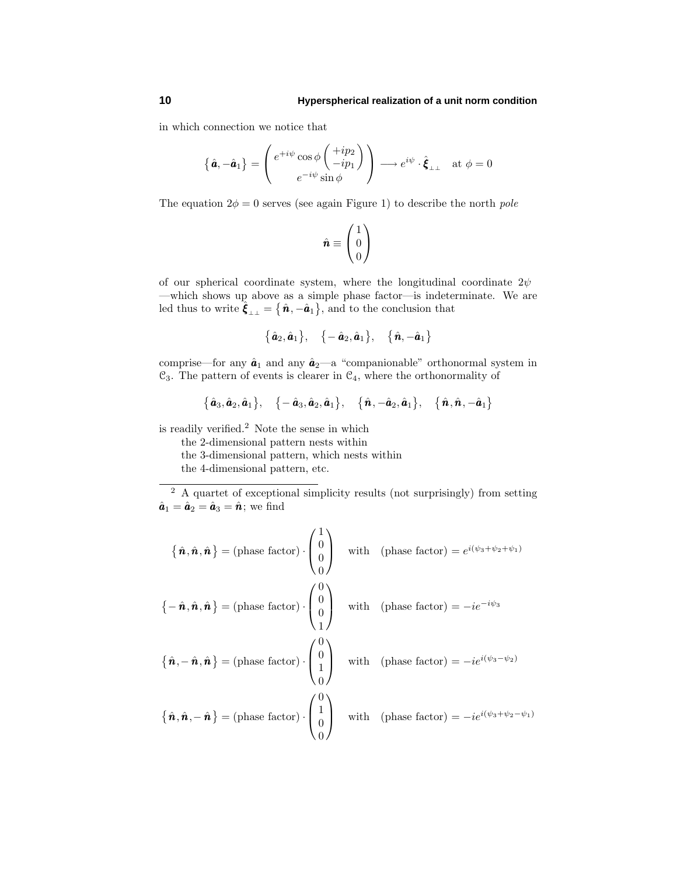in which connection we notice that

$$
\left\{ \hat{\boldsymbol{a}}, -\hat{\boldsymbol{a}}_1 \right\} = \begin{pmatrix} e^{+i\psi}\cos\phi \begin{pmatrix} +ip_2 \\ -ip_1 \end{pmatrix} \\ e^{-i\psi}\sin\phi \end{pmatrix} \longrightarrow e^{i\psi} \cdot \hat{\boldsymbol{\xi}}_{\perp\perp} \text{ at } \phi = 0
$$

The equation  $2\phi = 0$  serves (see again Figure 1) to describe the north *pole* 

$$
\hat{\boldsymbol{n}} \equiv \begin{pmatrix} 1 \\ 0 \\ 0 \end{pmatrix}
$$

of our spherical coordinate system, where the longitudinal coordinate 2*ψ* —which shows up above as a simple phase factor—is indeterminate. We are led thus to write  $\hat{\xi}_{\perp\perp} = \{\hat{n}, -\hat{a}_1\}$ , and to the conclusion that

$$
\{\,\hat{\bm a}_2,\hat{\bm a}_1\,\},\quad \{-\,\hat{\bm a}_2,\hat{\bm a}_1\,\},\quad \{\,\hat{\bm n},-\hat{\bm a}_1\,\}
$$

comprise—for any  $\hat{a}_1$  and any  $\hat{a}_2$ —a "companionable" orthonormal system in  $\mathcal{C}_3$ . The pattern of events is clearer in  $\mathcal{C}_4$ , where the orthonormality of

$$
\{\hat{\boldsymbol{a}}_3,\hat{\boldsymbol{a}}_2,\hat{\boldsymbol{a}}_1\},\quad \{-\hat{\boldsymbol{a}}_3,\hat{\boldsymbol{a}}_2,\hat{\boldsymbol{a}}_1\},\quad \{\hat{\boldsymbol{n}},-\hat{\boldsymbol{a}}_2,\hat{\boldsymbol{a}}_1\},\quad \{\hat{\boldsymbol{n}},\hat{\boldsymbol{n}},-\hat{\boldsymbol{a}}_1\}
$$

is readily verified.<sup>2</sup> Note the sense in which

the 2-dimensional pattern nests within

the 3-dimensional pattern, which nests within

the 4-dimensional pattern, etc.

<sup>2</sup> A quartet of exceptional simplicity results (not surprisingly) from setting  $\hat{\boldsymbol{a}}_1 = \hat{\boldsymbol{a}}_2 = \hat{\boldsymbol{a}}_3 = \hat{\boldsymbol{n}}$ ; we find

$$
\{\hat{\mathbf{n}}, \hat{\mathbf{n}}, \hat{\mathbf{n}}\} = (\text{phase factor}) \cdot \begin{pmatrix} 1 \\ 0 \\ 0 \\ 0 \end{pmatrix} \quad \text{with} \quad (\text{phase factor}) = e^{i(\psi_3 + \psi_2 + \psi_1)}
$$
\n
$$
\{-\hat{\mathbf{n}}, \hat{\mathbf{n}}, \hat{\mathbf{n}}\} = (\text{phase factor}) \cdot \begin{pmatrix} 0 \\ 0 \\ 0 \\ 1 \end{pmatrix} \quad \text{with} \quad (\text{phase factor}) = -ie^{-i\psi_3}
$$
\n
$$
\{\hat{\mathbf{n}}, -\hat{\mathbf{n}}, \hat{\mathbf{n}}\} = (\text{phase factor}) \cdot \begin{pmatrix} 0 \\ 0 \\ 1 \\ 0 \end{pmatrix} \quad \text{with} \quad (\text{phase factor}) = -ie^{i(\psi_3 - \psi_2)}
$$
\n
$$
\{\hat{\mathbf{n}}, \hat{\mathbf{n}}, -\hat{\mathbf{n}}\} = (\text{phase factor}) \cdot \begin{pmatrix} 0 \\ 1 \\ 0 \end{pmatrix} \quad \text{with} \quad (\text{phase factor}) = -ie^{i(\psi_3 + \psi_2 - \psi_1)}
$$

0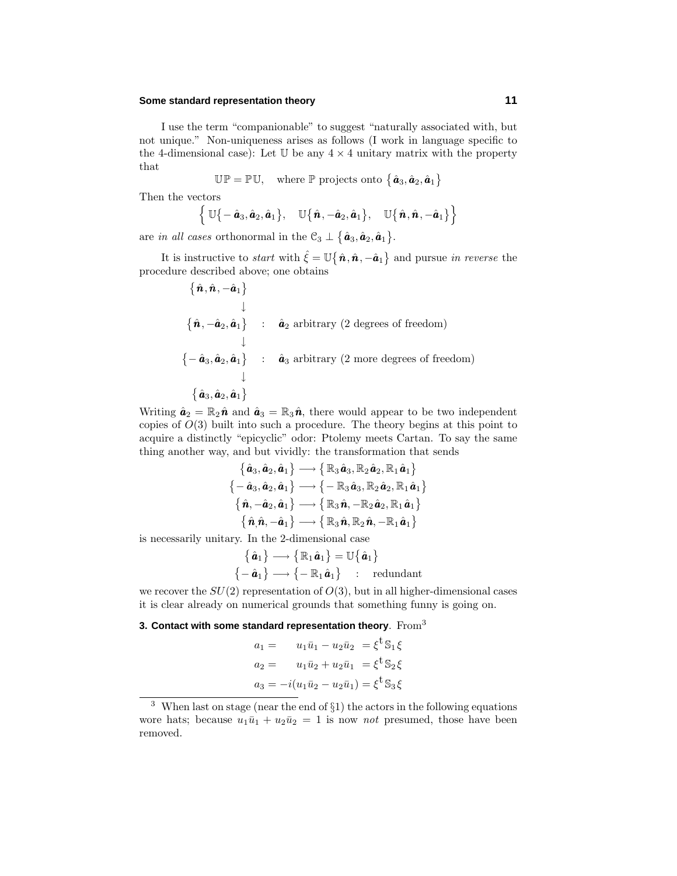## **Some standard representation theory 11**

I use the term "companionable" to suggest "naturally associated with, but not unique." Non-uniqueness arises as follows (I work in language specific to the 4-dimensional case): Let  $U$  be any  $4 \times 4$  unitary matrix with the property that

 $\mathbb{UP} = \mathbb{PU}$ , where  $\mathbb{P}$  projects onto  $\{\hat{a}_3, \hat{a}_2, \hat{a}_1\}$ 

Then the vectors

$$
\left\{\,\mathbb{U}\big\{-\,\hat{\boldsymbol{a}}_3,\hat{\boldsymbol{a}}_2,\hat{\boldsymbol{a}}_1\big\},\quad \mathbb{U}\big\{\,\hat{\boldsymbol{n}},-\hat{\boldsymbol{a}}_2,\hat{\boldsymbol{a}}_1\big\},\quad \mathbb{U}\big\{\,\hat{\boldsymbol{n}},\hat{\boldsymbol{n}},-\hat{\boldsymbol{a}}_1\big\}\right\}
$$

are *in all cases* orthonormal in the  $\mathcal{C}_3 \perp {\hat{a}_3, \hat{a}_2, \hat{a}_1}.$ 

It is instructive to *start* with  $\hat{\xi} = \mathbb{U} \{ \hat{n}, \hat{n}, -\hat{a}_1 \}$  and pursue *in reverse* the procedure described above; one obtains

$$
\{\hat{\boldsymbol{n}}, \hat{\boldsymbol{n}}, -\hat{\boldsymbol{a}}_1\} \qquad \downarrow
$$
\n
$$
\{\hat{\boldsymbol{n}}, -\hat{\boldsymbol{a}}_2, \hat{\boldsymbol{a}}_1\} \qquad \hat{\boldsymbol{a}}_2 \text{ arbitrary (2 degrees of freedom)}
$$
\n
$$
\{\{-\hat{\boldsymbol{a}}_3, \hat{\boldsymbol{a}}_2, \hat{\boldsymbol{a}}_1\} \qquad \hat{\boldsymbol{a}}_3 \text{ arbitrary (2 more degrees of freedom)}
$$
\n
$$
\{\hat{\boldsymbol{a}}_3, \hat{\boldsymbol{a}}_2, \hat{\boldsymbol{a}}_1\}
$$

Writing  $\hat{\boldsymbol{a}}_2 = \mathbb{R}_2 \hat{\boldsymbol{n}}$  and  $\hat{\boldsymbol{a}}_3 = \mathbb{R}_3 \hat{\boldsymbol{n}}$ , there would appear to be two independent copies of *O*(3) built into such a procedure. The theory begins at this point to acquire a distinctly "epicyclic" odor: Ptolemy meets Cartan. To say the same thing another way, and but vividly: the transformation that sends

$$
\left\{\begin{aligned}\left\{\hat{\bm{a}}_3,\hat{\bm{a}}_2,\hat{\bm{a}}_1\right\} &\longrightarrow\left\{\mathbb{R}_3\,\hat{\bm{a}}_3,\mathbb{R}_2\,\hat{\bm{a}}_2,\mathbb{R}_1\,\hat{\bm{a}}_1\right\} \\ \left\{-\hat{\bm{a}}_3,\hat{\bm{a}}_2,\hat{\bm{a}}_1\right\} &\longrightarrow\left\{-\mathbb{R}_3\,\hat{\bm{a}}_3,\mathbb{R}_2\,\hat{\bm{a}}_2,\mathbb{R}_1\,\hat{\bm{a}}_1\right\} \\ \left\{\hat{\bm{n}},-\hat{\bm{a}}_2,\hat{\bm{a}}_1\right\} &\longrightarrow\left\{\mathbb{R}_3\,\hat{\bm{n}},-\mathbb{R}_2\,\hat{\bm{a}}_2,\mathbb{R}_1\,\hat{\bm{a}}_1\right\} \\ \left\{\hat{\bm{n}},\hat{\bm{n}},-\hat{\bm{a}}_1\right\} &\longrightarrow\left\{\mathbb{R}_3\,\hat{\bm{n}},\mathbb{R}_2\,\hat{\bm{n}},-\mathbb{R}_1\,\hat{\bm{a}}_1\right\} \end{aligned}\right.
$$

is necessarily unitary. In the 2-dimensional case

$$
\begin{aligned}\n\{\hat{\boldsymbol{a}}_1\} &\longrightarrow \{\mathbb{R}_1\hat{\boldsymbol{a}}_1\} = \mathbb{U}\{\hat{\boldsymbol{a}}_1\} \\
\{-\hat{\boldsymbol{a}}_1\} &\longrightarrow \{-\mathbb{R}_1\hat{\boldsymbol{a}}_1\} \quad : \quad \text{redundant}\n\end{aligned}
$$

we recover the  $SU(2)$  representation of  $O(3)$ , but in all higher-dimensional cases it is clear already on numerical grounds that something funny is going on.

#### **3. Contact with some standard representation theory**. From<sup>3</sup>

$$
a_1 = u_1\bar{u}_1 - u_2\bar{u}_2 = \xi^{\dagger} \mathbb{S}_1 \xi
$$
  
\n
$$
a_2 = u_1\bar{u}_2 + u_2\bar{u}_1 = \xi^{\dagger} \mathbb{S}_2 \xi
$$
  
\n
$$
a_3 = -i(u_1\bar{u}_2 - u_2\bar{u}_1) = \xi^{\dagger} \mathbb{S}_3 \xi
$$

<sup>3</sup> When last on stage (near the end of §1) the actors in the following equations wore hats; because  $u_1\bar{u}_1 + u_2\bar{u}_2 = 1$  is now *not* presumed, those have been removed.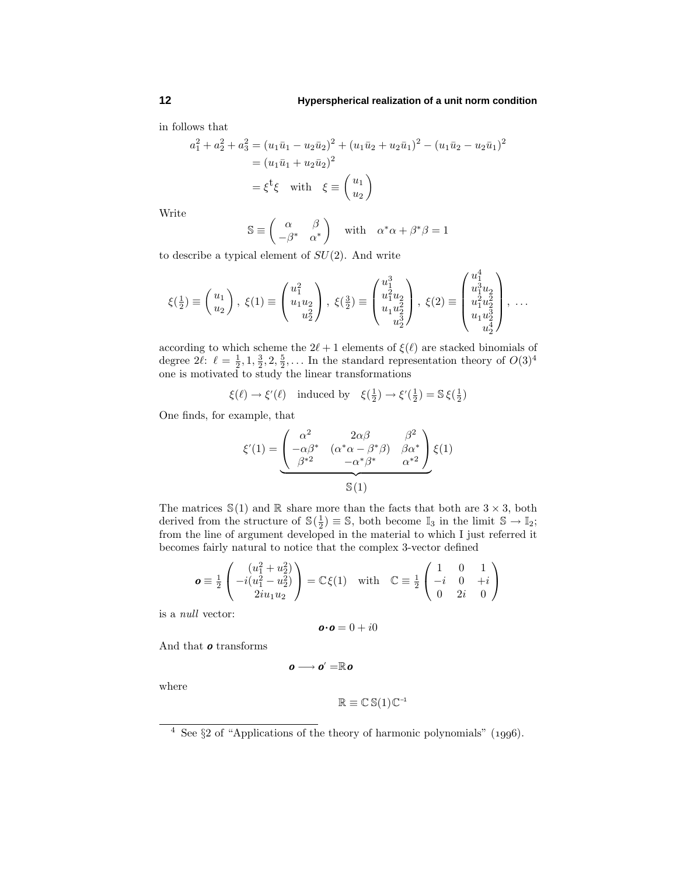in follows that

$$
a_1^2 + a_2^2 + a_3^2 = (u_1\bar{u}_1 - u_2\bar{u}_2)^2 + (u_1\bar{u}_2 + u_2\bar{u}_1)^2 - (u_1\bar{u}_2 - u_2\bar{u}_1)^2
$$
  
=  $(u_1\bar{u}_1 + u_2\bar{u}_2)^2$   
=  $\xi^t\xi$  with  $\xi \equiv \begin{pmatrix} u_1 \\ u_2 \end{pmatrix}$ 

Write

$$
\mathbb{S} \equiv \begin{pmatrix} \alpha & \beta \\ -\beta^* & \alpha^* \end{pmatrix} \quad \text{with} \quad \alpha^* \alpha + \beta^* \beta = 1
$$

to describe a typical element of *SU*(2). And write

$$
\xi(\tfrac{1}{2}) \equiv \begin{pmatrix} u_1 \\ u_2 \end{pmatrix}, \; \xi(1) \equiv \begin{pmatrix} u_1^2 \\ u_1 u_2 \\ u_2^2 \end{pmatrix}, \; \xi(\tfrac{3}{2}) \equiv \begin{pmatrix} u_1^3 \\ u_1^2 u_2 \\ u_1 u_2^2 \\ u_2^3 \end{pmatrix}, \; \xi(2) \equiv \begin{pmatrix} u_1^4 \\ u_1^3 u_2 \\ u_1^2 u_2^2 \\ u_1 u_2^3 \\ u_2^4 \end{pmatrix}, \; \ldots
$$

according to which scheme the  $2\ell + 1$  elements of  $\xi(\ell)$  are stacked binomials of degree  $2\ell$ :  $\ell = \frac{1}{2}, 1, \frac{3}{2}, 2, \frac{5}{2}, \ldots$  In the standard representation theory of  $O(3)^4$ one is motivated to study the linear transformations

$$
\xi(\ell) \to \xi'(\ell) \quad \text{induced by} \quad \xi(\frac{1}{2}) \to \xi'(\frac{1}{2}) = \mathbb{S} \xi(\frac{1}{2})
$$

One finds, for example, that

$$
\xi'(1) = \begin{pmatrix} \alpha^2 & 2\alpha\beta & \beta^2 \\ -\alpha\beta^* & (\alpha^*\alpha - \beta^*\beta) & \beta\alpha^* \\ \beta^{*2} & -\alpha^*\beta^* & \alpha^{*2} \end{pmatrix} \xi(1)
$$

$$
\mathbb{S}(1)
$$

The matrices  $\mathbb{S}(1)$  and  $\mathbb R$  share more than the facts that both are  $3 \times 3$ , both derived from the structure of  $\mathbb{S}(\frac{1}{2}) \equiv \mathbb{S}$ , both become  $\mathbb{I}_3$  in the limit  $\mathbb{S} \to \mathbb{I}_2$ ; from the line of argument developed in the material to which I just referred it becomes fairly natural to notice that the complex 3-vector defined

$$
\mathbf{o} \equiv \frac{1}{2} \begin{pmatrix} (u_1^2 + u_2^2) \\ -i(u_1^2 - u_2^2) \\ 2iu_1u_2 \end{pmatrix} = \mathbb{C}\xi(1) \text{ with } \mathbb{C} \equiv \frac{1}{2} \begin{pmatrix} 1 & 0 & 1 \\ -i & 0 & +i \\ 0 & 2i & 0 \end{pmatrix}
$$

is a null vector:

$$
\boldsymbol{o}{\boldsymbol{\cdot}}\boldsymbol{o}=0+i0
$$

And that *o* transforms

$$
\boldsymbol{o}\longrightarrow\boldsymbol{o}^{\prime}=\mathbb{R}\boldsymbol{o}
$$

where

$$
\mathbb{R} \equiv \mathbb{C} \, \mathbb{S}(1) \, \mathbb{C}^{-1}
$$

 $\frac{4}{4}$  See §2 of "Applications of the theory of harmonic polynomials" (1996).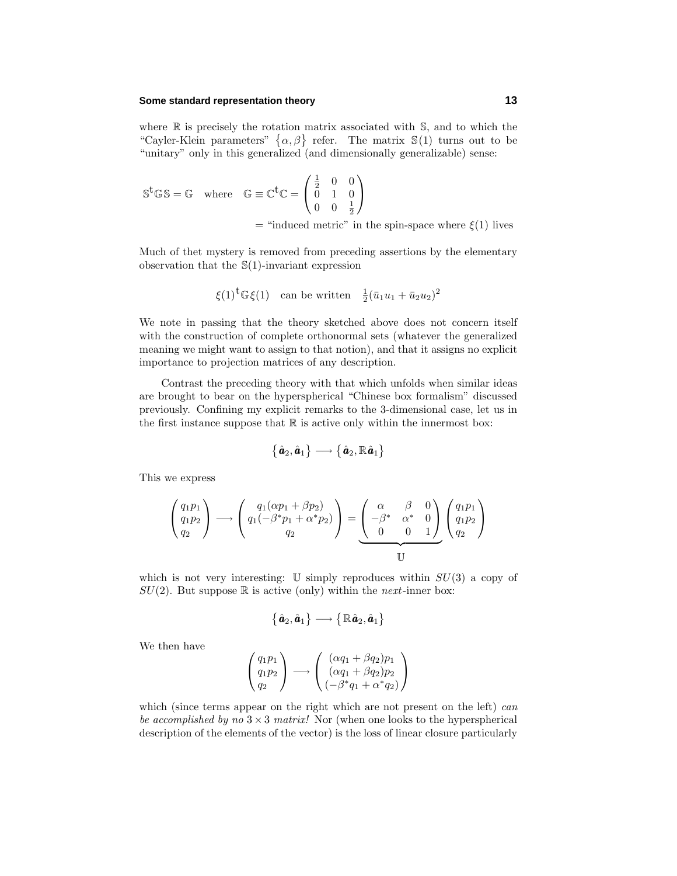## **Some standard representation theory 13**

where  $\mathbb R$  is precisely the rotation matrix associated with  $\mathbb S$ , and to which the "Cayler-Klein parameters"  $\{\alpha, \beta\}$  refer. The matrix  $\mathbb{S}(1)$  turns out to be "unitary" only in this generalized (and dimensionally generalizable) sense:

$$
\mathbb{S}^{\mathsf{t}}\mathbb{GS} = \mathbb{G} \quad \text{where} \quad \mathbb{G} \equiv \mathbb{C}^{\mathsf{t}}\mathbb{C} = \begin{pmatrix} \frac{1}{2} & 0 & 0 \\ 0 & 1 & 0 \\ 0 & 0 & \frac{1}{2} \end{pmatrix}
$$

 $=$  "induced metric" in the spin-space where  $\xi(1)$  lives

Much of thet mystery is removed from preceding assertions by the elementary observation that the S(1)-invariant expression

$$
\xi(1)^t \mathbb{G}\xi(1)
$$
 can be written  $\frac{1}{2}(\bar{u}_1u_1 + \bar{u}_2u_2)^2$ 

We note in passing that the theory sketched above does not concern itself with the construction of complete orthonormal sets (whatever the generalized meaning we might want to assign to that notion), and that it assigns no explicit importance to projection matrices of any description.

Contrast the preceding theory with that which unfolds when similar ideas are brought to bear on the hyperspherical "Chinese box formalism" discussed previously. Confining my explicit remarks to the 3-dimensional case, let us in the first instance suppose that  $\mathbb R$  is active only within the innermost box:

$$
\big\{\,\hat{\pmb{a}}_2,\hat{\pmb{a}}_1\big\}\longrightarrow\big\{\,\hat{\pmb{a}}_2,\mathbb{R}\,\hat{\pmb{a}}_1\big\}
$$

This we express

$$
\begin{pmatrix} q_1p_1 \ q_1p_2 \ q_2 \end{pmatrix} \longrightarrow \begin{pmatrix} q_1(\alpha p_1 + \beta p_2) \ q_1(-\beta^* p_1 + \alpha^* p_2) \ q_2 \end{pmatrix} = \underbrace{\begin{pmatrix} \alpha & \beta & 0 \ -\beta^* & \alpha^* & 0 \ 0 & 0 & 1 \end{pmatrix}}_{\mathbb{U}} \begin{pmatrix} q_1p_1 \ q_1p_2 \ q_2 \end{pmatrix}
$$

which is not very interesting:  $\mathbb U$  simply reproduces within  $SU(3)$  a copy of  $SU(2)$ . But suppose  $\mathbb R$  is active (only) within the *next*-inner box:

$$
\big\{\,\hat{\pmb{a}}_2,\hat{\pmb{a}}_1\big\}\longrightarrow\big\{\,\mathbb{R}\,\hat{\pmb{a}}_2,\hat{\pmb{a}}_1\big\}
$$

We then have

$$
\begin{pmatrix} q_1p_1 \ q_1p_2 \ q_2 \end{pmatrix} \longrightarrow \begin{pmatrix} (\alpha q_1 + \beta q_2)p_1 \ (\alpha q_1 + \beta q_2)p_2 \ (-\beta^*q_1 + \alpha^*q_2) \end{pmatrix}
$$

which (since terms appear on the right which are not present on the left) can be accomplished by no  $3 \times 3$  matrix! Nor (when one looks to the hyperspherical description of the elements of the vector) is the loss of linear closure particularly